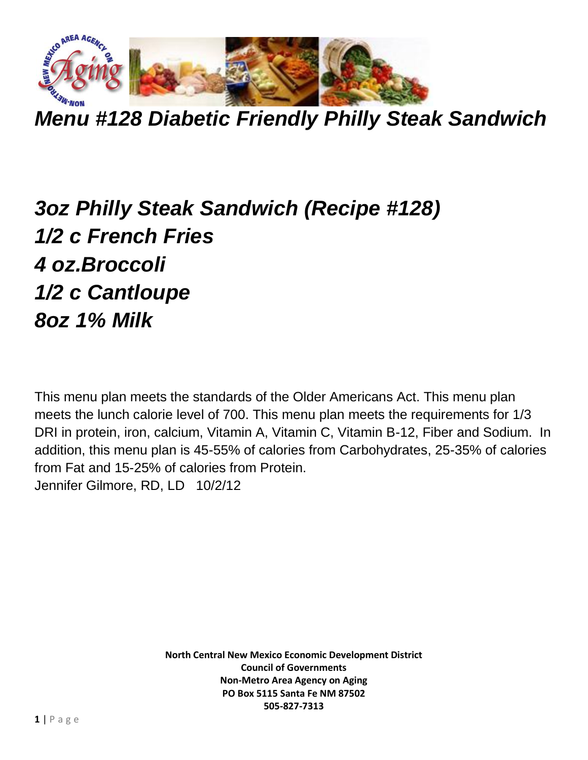

*Menu #128 Diabetic Friendly Philly Steak Sandwich*

## *3oz Philly Steak Sandwich (Recipe #128) 1/2 c French Fries 4 oz.Broccoli 1/2 c Cantloupe 8oz 1% Milk*

This menu plan meets the standards of the Older Americans Act. This menu plan meets the lunch calorie level of 700. This menu plan meets the requirements for 1/3 DRI in protein, iron, calcium, Vitamin A, Vitamin C, Vitamin B-12, Fiber and Sodium. In addition, this menu plan is 45-55% of calories from Carbohydrates, 25-35% of calories from Fat and 15-25% of calories from Protein. Jennifer Gilmore, RD, LD 10/2/12

> **North Central New Mexico Economic Development District Council of Governments Non-Metro Area Agency on Aging PO Box 5115 Santa Fe NM 87502 505-827-7313**